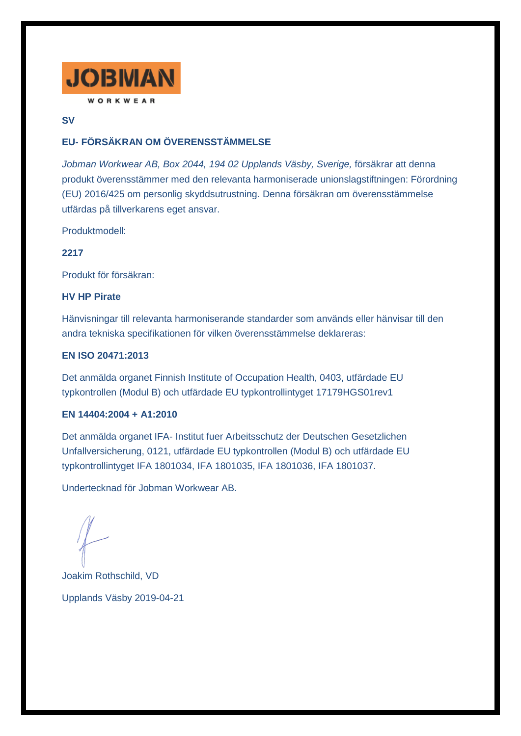

### **SV**

# **EU- FÖRSÄKRAN OM ÖVERENSSTÄMMELSE**

*Jobman Workwear AB, Box 2044, 194 02 Upplands Väsby, Sverige,* försäkrar att denna produkt överensstämmer med den relevanta harmoniserade unionslagstiftningen: Förordning (EU) 2016/425 om personlig skyddsutrustning. Denna försäkran om överensstämmelse utfärdas på tillverkarens eget ansvar.

Produktmodell:

### **2217**

Produkt för försäkran:

#### **HV HP Pirate**

Hänvisningar till relevanta harmoniserande standarder som används eller hänvisar till den andra tekniska specifikationen för vilken överensstämmelse deklareras:

### **EN ISO 20471:2013**

Det anmälda organet Finnish Institute of Occupation Health, 0403, utfärdade EU typkontrollen (Modul B) och utfärdade EU typkontrollintyget 17179HGS01rev1

### **EN 14404:2004 + A1:2010**

Det anmälda organet IFA- Institut fuer Arbeitsschutz der Deutschen Gesetzlichen Unfallversicherung, 0121, utfärdade EU typkontrollen (Modul B) och utfärdade EU typkontrollintyget IFA 1801034, IFA 1801035, IFA 1801036, IFA 1801037.

Undertecknad för Jobman Workwear AB.

Joakim Rothschild, VD Upplands Väsby 2019-04-21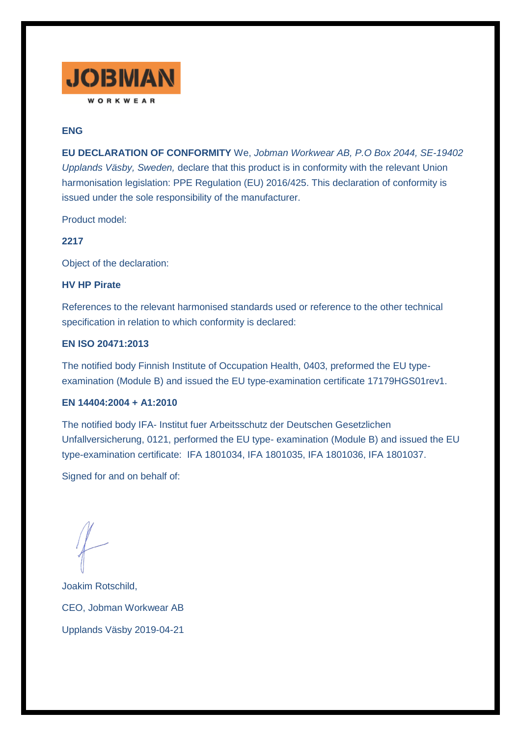

## **ENG**

**EU DECLARATION OF CONFORMITY** We, *Jobman Workwear AB, P.O Box 2044, SE-19402 Upplands Väsby, Sweden,* declare that this product is in conformity with the relevant Union harmonisation legislation: PPE Regulation (EU) 2016/425. This declaration of conformity is issued under the sole responsibility of the manufacturer.

Product model:

### **2217**

Object of the declaration:

#### **HV HP Pirate**

References to the relevant harmonised standards used or reference to the other technical specification in relation to which conformity is declared:

#### **EN ISO 20471:2013**

The notified body Finnish Institute of Occupation Health, 0403, preformed the EU typeexamination (Module B) and issued the EU type-examination certificate 17179HGS01rev1.

#### **EN 14404:2004 + A1:2010**

The notified body IFA- Institut fuer Arbeitsschutz der Deutschen Gesetzlichen Unfallversicherung, 0121, performed the EU type- examination (Module B) and issued the EU type-examination certificate: IFA 1801034, IFA 1801035, IFA 1801036, IFA 1801037.

Signed for and on behalf of:

Joakim Rotschild, CEO, Jobman Workwear AB Upplands Väsby 2019-04-21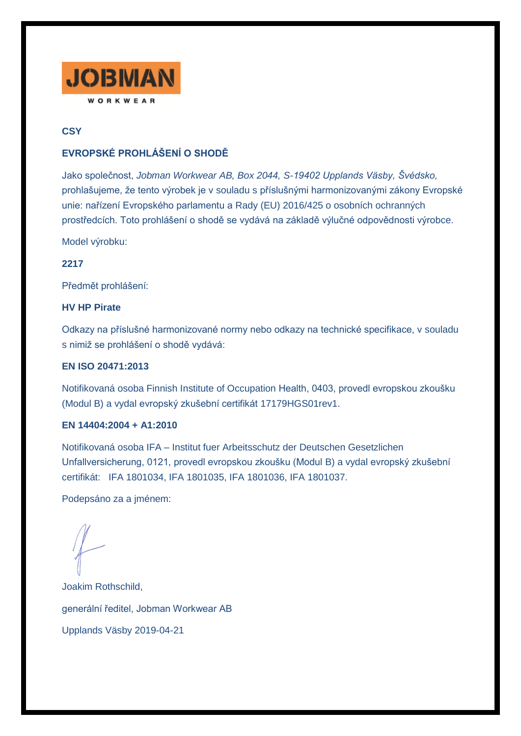

# **CSY**

# **EVROPSKÉ PROHLÁŠENÍ O SHODĚ**

Jako společnost, *Jobman Workwear AB, Box 2044, S-19402 Upplands Väsby, Švédsko,* prohlašujeme, že tento výrobek je v souladu s příslušnými harmonizovanými zákony Evropské unie: nařízení Evropského parlamentu a Rady (EU) 2016/425 o osobních ochranných prostředcích. Toto prohlášení o shodě se vydává na základě výlučné odpovědnosti výrobce.

Model výrobku:

**2217**

Předmět prohlášení:

### **HV HP Pirate**

Odkazy na příslušné harmonizované normy nebo odkazy na technické specifikace, v souladu s nimiž se prohlášení o shodě vydává:

## **EN ISO 20471:2013**

Notifikovaná osoba Finnish Institute of Occupation Health, 0403, provedl evropskou zkoušku (Modul B) a vydal evropský zkušební certifikát 17179HGS01rev1.

### **EN 14404:2004 + A1:2010**

Notifikovaná osoba IFA – Institut fuer Arbeitsschutz der Deutschen Gesetzlichen Unfallversicherung, 0121, provedl evropskou zkoušku (Modul B) a vydal evropský zkušební certifikát: IFA 1801034, IFA 1801035, IFA 1801036, IFA 1801037.

Podepsáno za a jménem:

Joakim Rothschild, generální ředitel, Jobman Workwear AB Upplands Väsby 2019-04-21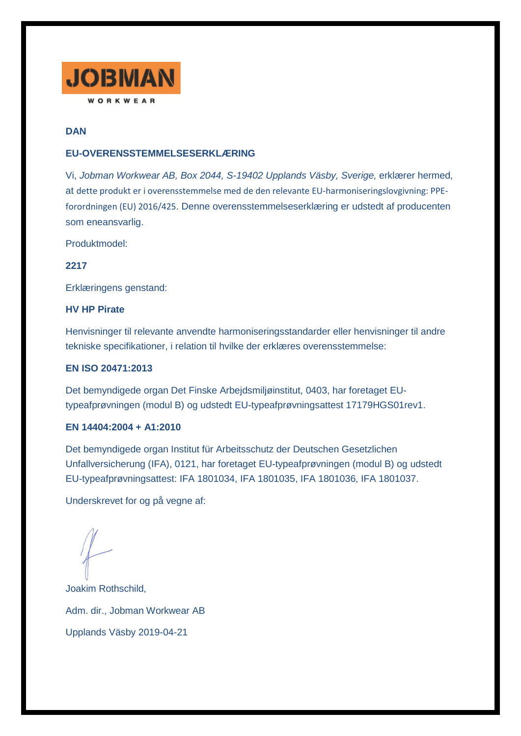

# **DAN**

### **EU-OVERENSSTEMMELSESERKLÆRING**

Vi, *Jobman Workwear AB, Box 2044, S-19402 Upplands Väsby, Sverige,* erklærer hermed, at dette produkt er i overensstemmelse med de den relevante EU-harmoniseringslovgivning: PPEforordningen (EU) 2016/425. Denne overensstemmelseserklæring er udstedt af producenten som eneansvarlig.

Produktmodel:

**2217**

Erklæringens genstand:

#### **HV HP Pirate**

Henvisninger til relevante anvendte harmoniseringsstandarder eller henvisninger til andre tekniske specifikationer, i relation til hvilke der erklæres overensstemmelse:

## **EN ISO 20471:2013**

Det bemyndigede organ Det Finske Arbejdsmiljøinstitut, 0403, har foretaget EUtypeafprøvningen (modul B) og udstedt EU-typeafprøvningsattest 17179HGS01rev1.

#### **EN 14404:2004 + A1:2010**

Det bemyndigede organ Institut für Arbeitsschutz der Deutschen Gesetzlichen Unfallversicherung (IFA), 0121, har foretaget EU-typeafprøvningen (modul B) og udstedt EU-typeafprøvningsattest: IFA 1801034, IFA 1801035, IFA 1801036, IFA 1801037.

Underskrevet for og på vegne af:

Joakim Rothschild, Adm. dir., Jobman Workwear AB Upplands Väsby 2019-04-21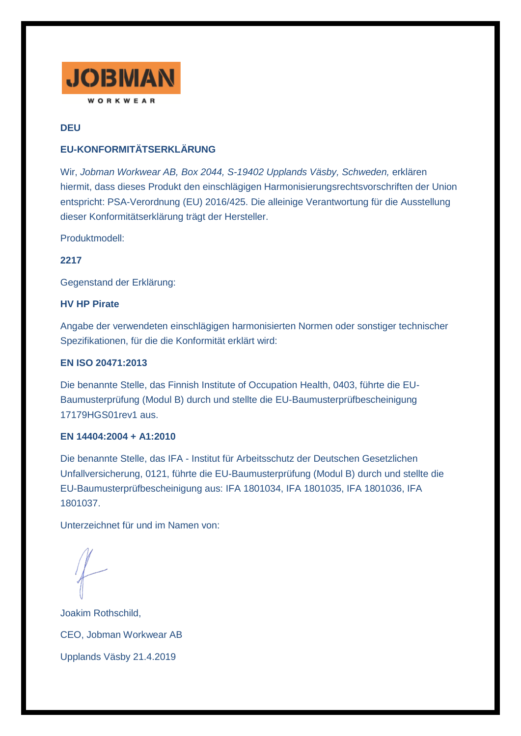

# **DEU**

# **EU-KONFORMITÄTSERKLÄRUNG**

Wir, *Jobman Workwear AB, Box 2044, S-19402 Upplands Väsby, Schweden,* erklären hiermit, dass dieses Produkt den einschlägigen Harmonisierungsrechtsvorschriften der Union entspricht: PSA-Verordnung (EU) 2016/425. Die alleinige Verantwortung für die Ausstellung dieser Konformitätserklärung trägt der Hersteller.

Produktmodell:

**2217**

Gegenstand der Erklärung:

## **HV HP Pirate**

Angabe der verwendeten einschlägigen harmonisierten Normen oder sonstiger technischer Spezifikationen, für die die Konformität erklärt wird:

## **EN ISO 20471:2013**

Die benannte Stelle, das Finnish Institute of Occupation Health, 0403, führte die EU-Baumusterprüfung (Modul B) durch und stellte die EU-Baumusterprüfbescheinigung 17179HGS01rev1 aus.

### **EN 14404:2004 + A1:2010**

Die benannte Stelle, das IFA - Institut für Arbeitsschutz der Deutschen Gesetzlichen Unfallversicherung, 0121, führte die EU-Baumusterprüfung (Modul B) durch und stellte die EU-Baumusterprüfbescheinigung aus: IFA 1801034, IFA 1801035, IFA 1801036, IFA 1801037.

Unterzeichnet für und im Namen von:

Joakim Rothschild, CEO, Jobman Workwear AB Upplands Väsby 21.4.2019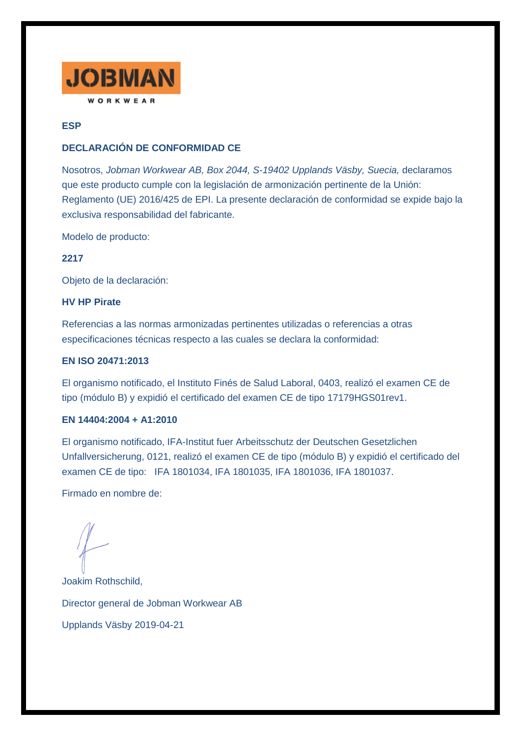

## **ESP**

## **DECLARACIÓN DE CONFORMIDAD CE**

Nosotros, *Jobman Workwear AB, Box 2044, S-19402 Upplands Väsby, Suecia,* declaramos que este producto cumple con la legislación de armonización pertinente de la Unión: Reglamento (UE) 2016/425 de EPI. La presente declaración de conformidad se expide bajo la exclusiva responsabilidad del fabricante.

Modelo de producto:

**2217**

Objeto de la declaración:

### **HV HP Pirate**

Referencias a las normas armonizadas pertinentes utilizadas o referencias a otras especificaciones técnicas respecto a las cuales se declara la conformidad:

#### **EN ISO 20471:2013**

El organismo notificado, el Instituto Finés de Salud Laboral, 0403, realizó el examen CE de tipo (módulo B) y expidió el certificado del examen CE de tipo 17179HGS01rev1.

### **EN 14404:2004 + A1:2010**

El organismo notificado, IFA-Institut fuer Arbeitsschutz der Deutschen Gesetzlichen Unfallversicherung, 0121, realizó el examen CE de tipo (módulo B) y expidió el certificado del examen CE de tipo: IFA 1801034, IFA 1801035, IFA 1801036, IFA 1801037.

Firmado en nombre de:

Joakim Rothschild, Director general de Jobman Workwear AB Upplands Väsby 2019-04-21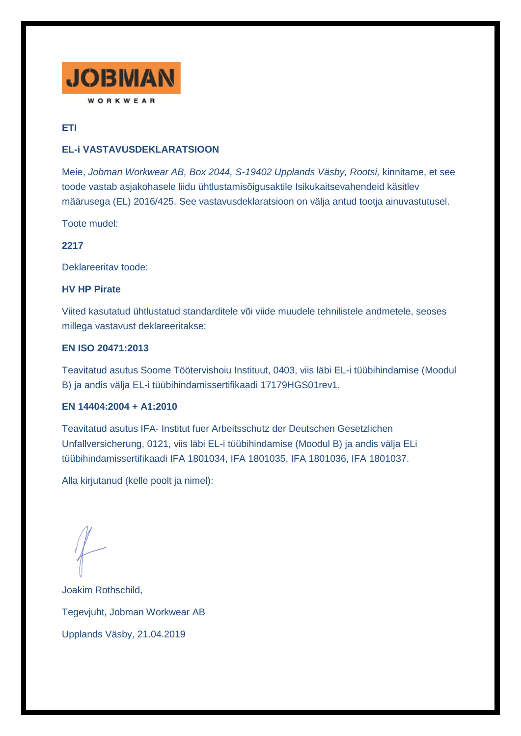

# **ETI**

# **EL-i VASTAVUSDEKLARATSIOON**

Meie, *Jobman Workwear AB, Box 2044, S-19402 Upplands Väsby, Rootsi,* kinnitame, et see toode vastab asjakohasele liidu ühtlustamisõigusaktile Isikukaitsevahendeid käsitlev määrusega (EL) 2016/425. See vastavusdeklaratsioon on välja antud tootja ainuvastutusel.

Toote mudel:

## **2217**

Deklareeritav toode:

## **HV HP Pirate**

Viited kasutatud ühtlustatud standarditele või viide muudele tehnilistele andmetele, seoses millega vastavust deklareeritakse:

#### **EN ISO 20471:2013**

Teavitatud asutus Soome Töötervishoiu Instituut, 0403, viis läbi EL-i tüübihindamise (Moodul B) ja andis välja EL-i tüübihindamissertifikaadi 17179HGS01rev1.

#### **EN 14404:2004 + A1:2010**

Teavitatud asutus IFA- Institut fuer Arbeitsschutz der Deutschen Gesetzlichen Unfallversicherung, 0121, viis läbi EL-i tüübihindamise (Moodul B) ja andis välja ELi tüübihindamissertifikaadi IFA 1801034, IFA 1801035, IFA 1801036, IFA 1801037.

Alla kirjutanud (kelle poolt ja nimel):

Joakim Rothschild, Tegevjuht, Jobman Workwear AB Upplands Väsby, 21.04.2019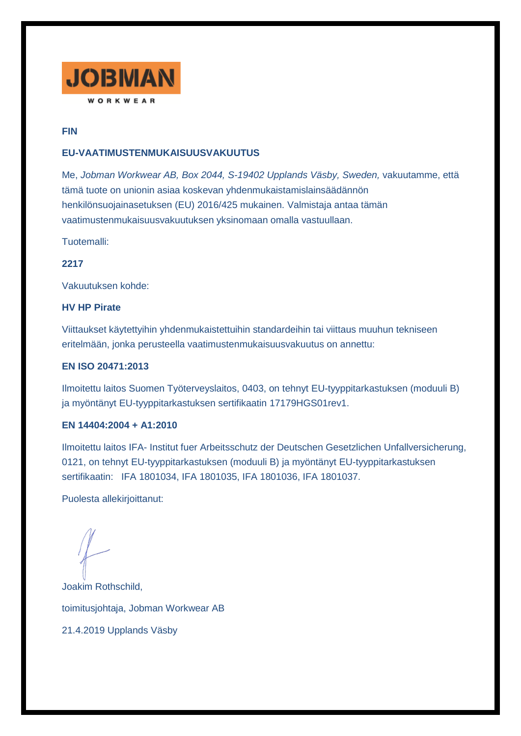

## **FIN**

## **EU-VAATIMUSTENMUKAISUUSVAKUUTUS**

Me, *Jobman Workwear AB, Box 2044, S-19402 Upplands Väsby, Sweden,* vakuutamme, että tämä tuote on unionin asiaa koskevan yhdenmukaistamislainsäädännön henkilönsuojainasetuksen (EU) 2016/425 mukainen. Valmistaja antaa tämän vaatimustenmukaisuusvakuutuksen yksinomaan omalla vastuullaan.

Tuotemalli:

**2217**

Vakuutuksen kohde:

#### **HV HP Pirate**

Viittaukset käytettyihin yhdenmukaistettuihin standardeihin tai viittaus muuhun tekniseen eritelmään, jonka perusteella vaatimustenmukaisuusvakuutus on annettu:

#### **EN ISO 20471:2013**

Ilmoitettu laitos Suomen Työterveyslaitos, 0403, on tehnyt EU-tyyppitarkastuksen (moduuli B) ja myöntänyt EU-tyyppitarkastuksen sertifikaatin 17179HGS01rev1.

#### **EN 14404:2004 + A1:2010**

Ilmoitettu laitos IFA- Institut fuer Arbeitsschutz der Deutschen Gesetzlichen Unfallversicherung, 0121, on tehnyt EU-tyyppitarkastuksen (moduuli B) ja myöntänyt EU-tyyppitarkastuksen sertifikaatin: IFA 1801034, IFA 1801035, IFA 1801036, IFA 1801037.

Puolesta allekirjoittanut:

Joakim Rothschild, toimitusjohtaja, Jobman Workwear AB 21.4.2019 Upplands Väsby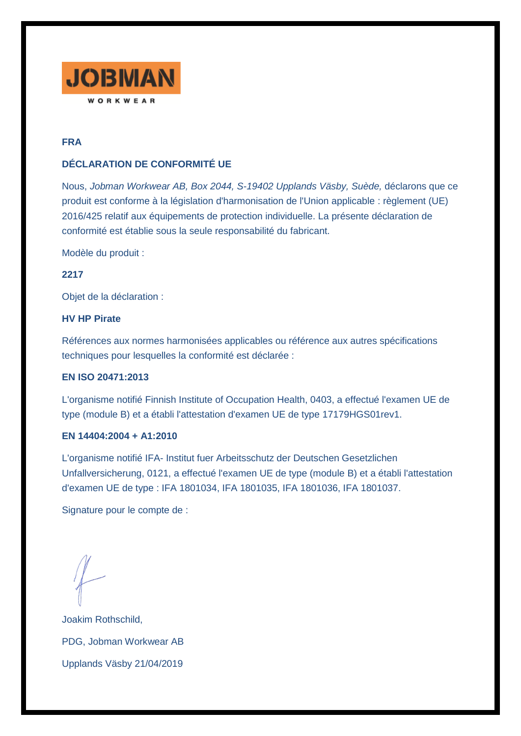

# **FRA**

# **DÉCLARATION DE CONFORMITÉ UE**

Nous, *Jobman Workwear AB, Box 2044, S-19402 Upplands Väsby, Suède,* déclarons que ce produit est conforme à la législation d'harmonisation de l'Union applicable : règlement (UE) 2016/425 relatif aux équipements de protection individuelle. La présente déclaration de conformité est établie sous la seule responsabilité du fabricant.

Modèle du produit :

**2217**

Objet de la déclaration :

# **HV HP Pirate**

Références aux normes harmonisées applicables ou référence aux autres spécifications techniques pour lesquelles la conformité est déclarée :

### **EN ISO 20471:2013**

L'organisme notifié Finnish Institute of Occupation Health, 0403, a effectué l'examen UE de type (module B) et a établi l'attestation d'examen UE de type 17179HGS01rev1.

### **EN 14404:2004 + A1:2010**

L'organisme notifié IFA- Institut fuer Arbeitsschutz der Deutschen Gesetzlichen Unfallversicherung, 0121, a effectué l'examen UE de type (module B) et a établi l'attestation d'examen UE de type : IFA 1801034, IFA 1801035, IFA 1801036, IFA 1801037.

Signature pour le compte de :

Joakim Rothschild, PDG, Jobman Workwear AB Upplands Väsby 21/04/2019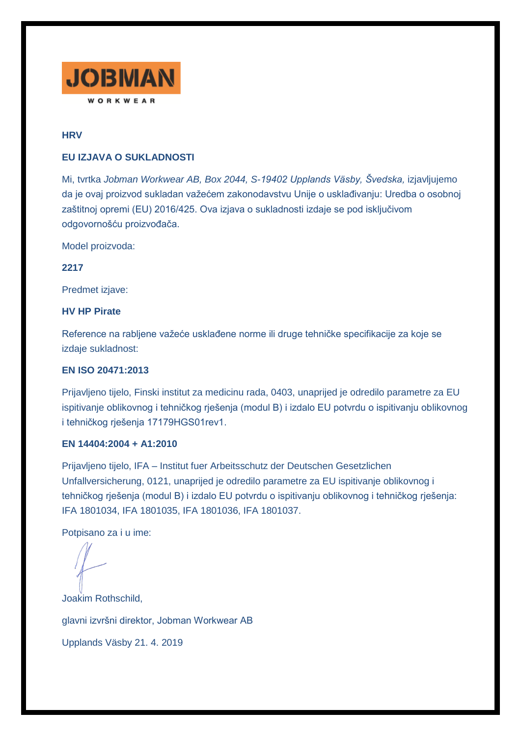

## **HRV**

#### **EU IZJAVA O SUKLADNOSTI**

Mi, tvrtka *Jobman Workwear AB, Box 2044, S-19402 Upplands Väsby, Švedska,* izjavljujemo da je ovaj proizvod sukladan važećem zakonodavstvu Unije o usklađivanju: Uredba o osobnoj zaštitnoj opremi (EU) 2016/425. Ova izjava o sukladnosti izdaje se pod isključivom odgovornošću proizvođača.

Model proizvoda:

**2217**

Predmet izjave:

#### **HV HP Pirate**

Reference na rabljene važeće usklađene norme ili druge tehničke specifikacije za koje se izdaje sukladnost:

# **EN ISO 20471:2013**

Prijavljeno tijelo, Finski institut za medicinu rada, 0403, unaprijed je odredilo parametre za EU ispitivanje oblikovnog i tehničkog rješenja (modul B) i izdalo EU potvrdu o ispitivanju oblikovnog i tehničkog rješenja 17179HGS01rev1.

### **EN 14404:2004 + A1:2010**

Prijavljeno tijelo, IFA – Institut fuer Arbeitsschutz der Deutschen Gesetzlichen Unfallversicherung, 0121, unaprijed je odredilo parametre za EU ispitivanje oblikovnog i tehničkog rješenja (modul B) i izdalo EU potvrdu o ispitivanju oblikovnog i tehničkog rješenja: IFA 1801034, IFA 1801035, IFA 1801036, IFA 1801037.

Potpisano za i u ime:

Joakim Rothschild, glavni izvršni direktor, Jobman Workwear AB Upplands Väsby 21. 4. 2019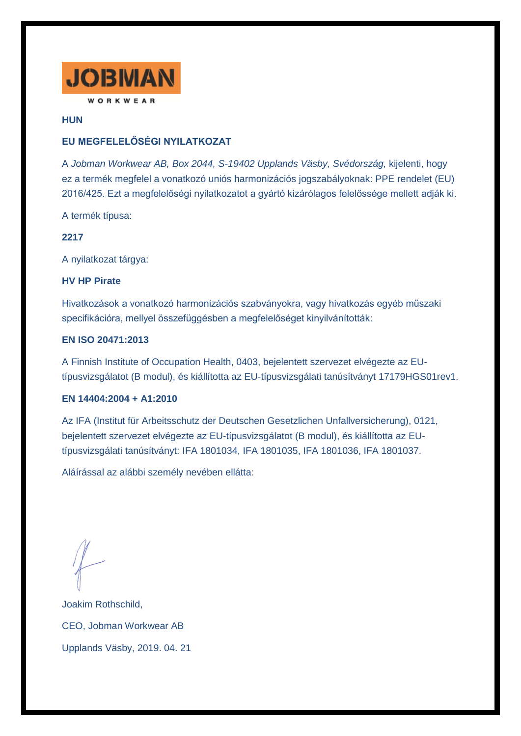

**HUN**

# **EU MEGFELELŐSÉGI NYILATKOZAT**

A *Jobman Workwear AB, Box 2044, S-19402 Upplands Väsby, Svédország,* kijelenti, hogy ez a termék megfelel a vonatkozó uniós harmonizációs jogszabályoknak: PPE rendelet (EU) 2016/425. Ezt a megfelelőségi nyilatkozatot a gyártó kizárólagos felelőssége mellett adják ki.

A termék típusa:

## **2217**

A nyilatkozat tárgya:

### **HV HP Pirate**

Hivatkozások a vonatkozó harmonizációs szabványokra, vagy hivatkozás egyéb műszaki specifikációra, mellyel összefüggésben a megfelelőséget kinyilvánították:

## **EN ISO 20471:2013**

A Finnish Institute of Occupation Health, 0403, bejelentett szervezet elvégezte az EUtípusvizsgálatot (B modul), és kiállította az EU-típusvizsgálati tanúsítványt 17179HGS01rev1.

### **EN 14404:2004 + A1:2010**

Az IFA (Institut für Arbeitsschutz der Deutschen Gesetzlichen Unfallversicherung), 0121, bejelentett szervezet elvégezte az EU-típusvizsgálatot (B modul), és kiállította az EUtípusvizsgálati tanúsítványt: IFA 1801034, IFA 1801035, IFA 1801036, IFA 1801037.

Aláírással az alábbi személy nevében ellátta:

Joakim Rothschild, CEO, Jobman Workwear AB Upplands Väsby, 2019. 04. 21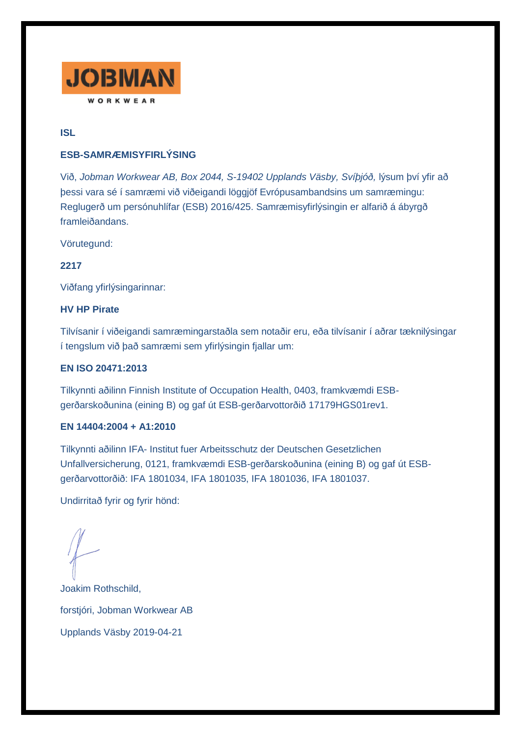

**ISL**

## **ESB-SAMRÆMISYFIRLÝSING**

Við, *Jobman Workwear AB, Box 2044, S-19402 Upplands Väsby, Svíþjóð,* lýsum því yfir að þessi vara sé í samræmi við viðeigandi löggjöf Evrópusambandsins um samræmingu: Reglugerð um persónuhlífar (ESB) 2016/425. Samræmisyfirlýsingin er alfarið á ábyrgð framleiðandans.

Vörutegund:

**2217**

Viðfang yfirlýsingarinnar:

### **HV HP Pirate**

Tilvísanir í viðeigandi samræmingarstaðla sem notaðir eru, eða tilvísanir í aðrar tæknilýsingar í tengslum við það samræmi sem yfirlýsingin fjallar um:

## **EN ISO 20471:2013**

Tilkynnti aðilinn Finnish Institute of Occupation Health, 0403, framkvæmdi ESBgerðarskoðunina (eining B) og gaf út ESB-gerðarvottorðið 17179HGS01rev1.

## **EN 14404:2004 + A1:2010**

Tilkynnti aðilinn IFA- Institut fuer Arbeitsschutz der Deutschen Gesetzlichen Unfallversicherung, 0121, framkvæmdi ESB-gerðarskoðunina (eining B) og gaf út ESBgerðarvottorðið: IFA 1801034, IFA 1801035, IFA 1801036, IFA 1801037.

Undirritað fyrir og fyrir hönd:

Joakim Rothschild, forstjóri, Jobman Workwear AB Upplands Väsby 2019-04-21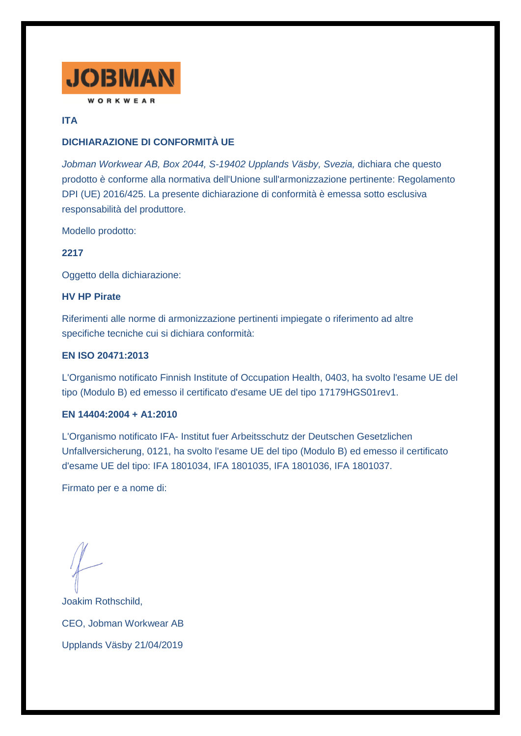

# **ITA**

# **DICHIARAZIONE DI CONFORMITÀ UE**

*Jobman Workwear AB, Box 2044, S-19402 Upplands Väsby, Svezia,* dichiara che questo prodotto è conforme alla normativa dell'Unione sull'armonizzazione pertinente: Regolamento DPI (UE) 2016/425. La presente dichiarazione di conformità è emessa sotto esclusiva responsabilità del produttore.

Modello prodotto:

### **2217**

Oggetto della dichiarazione:

### **HV HP Pirate**

Riferimenti alle norme di armonizzazione pertinenti impiegate o riferimento ad altre specifiche tecniche cui si dichiara conformità:

### **EN ISO 20471:2013**

L'Organismo notificato Finnish Institute of Occupation Health, 0403, ha svolto l'esame UE del tipo (Modulo B) ed emesso il certificato d'esame UE del tipo 17179HGS01rev1.

### **EN 14404:2004 + A1:2010**

L'Organismo notificato IFA- Institut fuer Arbeitsschutz der Deutschen Gesetzlichen Unfallversicherung, 0121, ha svolto l'esame UE del tipo (Modulo B) ed emesso il certificato d'esame UE del tipo: IFA 1801034, IFA 1801035, IFA 1801036, IFA 1801037.

Firmato per e a nome di:

Joakim Rothschild, CEO, Jobman Workwear AB Upplands Väsby 21/04/2019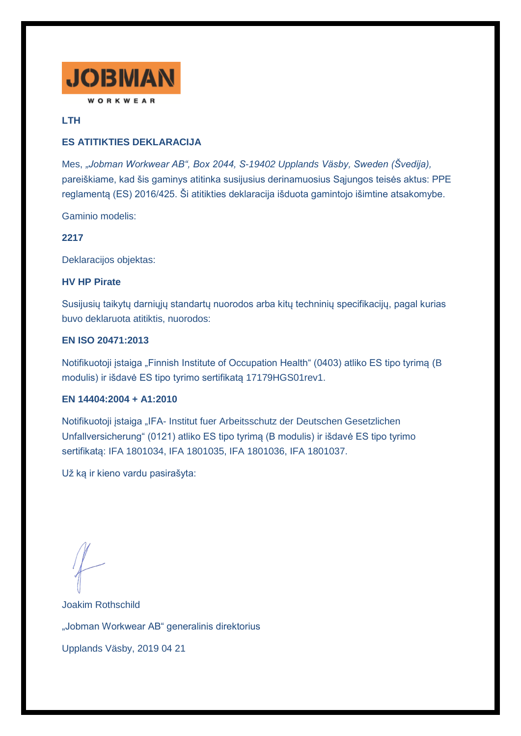

## **LTH**

## **ES ATITIKTIES DEKLARACIJA**

Mes, *"Jobman Workwear AB", Box 2044, S-19402 Upplands Väsby, Sweden (Švedija),* pareiškiame, kad šis gaminys atitinka susijusius derinamuosius Sąjungos teisės aktus: PPE reglamentą (ES) 2016/425. Ši atitikties deklaracija išduota gamintojo išimtine atsakomybe.

Gaminio modelis:

## **2217**

Deklaracijos objektas:

#### **HV HP Pirate**

Susijusių taikytų darniųjų standartų nuorodos arba kitų techninių specifikacijų, pagal kurias buvo deklaruota atitiktis, nuorodos:

## **EN ISO 20471:2013**

Notifikuotoji įstaiga "Finnish Institute of Occupation Health" (0403) atliko ES tipo tyrimą (B modulis) ir išdavė ES tipo tyrimo sertifikatą 17179HGS01rev1.

### **EN 14404:2004 + A1:2010**

Notifikuotoji įstaiga "IFA- Institut fuer Arbeitsschutz der Deutschen Gesetzlichen Unfallversicherung" (0121) atliko ES tipo tyrimą (B modulis) ir išdavė ES tipo tyrimo sertifikatą: IFA 1801034, IFA 1801035, IFA 1801036, IFA 1801037.

Už ką ir kieno vardu pasirašyta:

Joakim Rothschild "Jobman Workwear AB" generalinis direktorius Upplands Väsby, 2019 04 21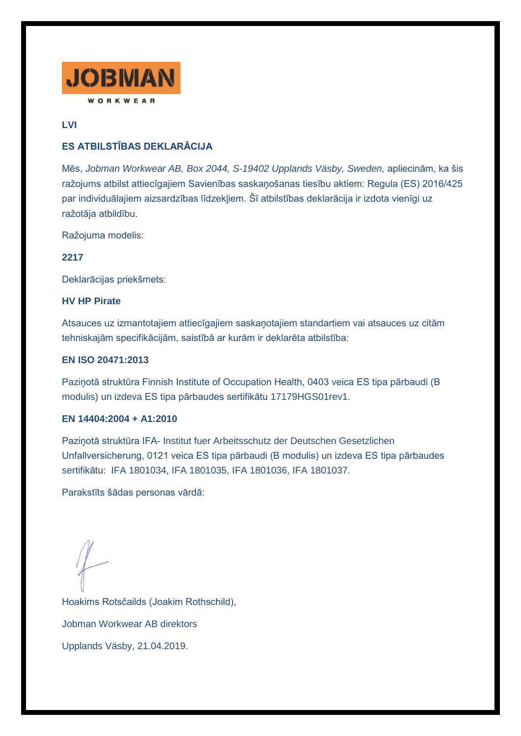

# **LVI**

# **ES ATBILSTĪBAS DEKLARĀCIJA**

Mēs, *Jobman Workwear AB, Box 2044, S-19402 Upplands Väsby, Sweden,* apliecinām, ka šis ražojums atbilst attiecīgajiem Savienības saskaņošanas tiesību aktiem: Regula (ES) 2016/425 par individuālajiem aizsardzības līdzekļiem. Šī atbilstības deklarācija ir izdota vienīgi uz ražotāja atbildību.

Ražojuma modelis:

**2217**

Deklarācijas priekšmets:

## **HV HP Pirate**

Atsauces uz izmantotajiem attiecīgajiem saskaņotajiem standartiem vai atsauces uz citām tehniskajām specifikācijām, saistībā ar kurām ir deklarēta atbilstība:

## **EN ISO 20471:2013**

Paziņotā struktūra Finnish Institute of Occupation Health, 0403 veica ES tipa pārbaudi (B modulis) un izdeva ES tipa pārbaudes sertifikātu 17179HGS01rev1.

### **EN 14404:2004 + A1:2010**

Paziņotā struktūra IFA- Institut fuer Arbeitsschutz der Deutschen Gesetzlichen Unfallversicherung, 0121 veica ES tipa pārbaudi (B modulis) un izdeva ES tipa pārbaudes sertifikātu: IFA 1801034, IFA 1801035, IFA 1801036, IFA 1801037.

Parakstīts šādas personas vārdā:

Hoakims Rotsčailds (Joakim Rothschild), Jobman Workwear AB direktors Upplands Väsby, 21.04.2019.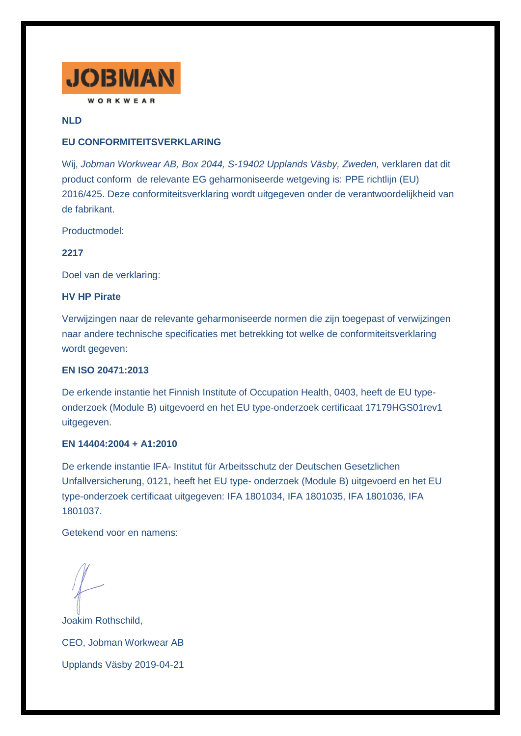

## **NLD**

## **EU CONFORMITEITSVERKLARING**

Wij, *Jobman Workwear AB, Box 2044, S-19402 Upplands Väsby, Zweden,* verklaren dat dit product conform de relevante EG geharmoniseerde wetgeving is: PPE richtlijn (EU) 2016/425. Deze conformiteitsverklaring wordt uitgegeven onder de verantwoordelijkheid van de fabrikant.

Productmodel:

### **2217**

Doel van de verklaring:

### **HV HP Pirate**

Verwijzingen naar de relevante geharmoniseerde normen die zijn toegepast of verwijzingen naar andere technische specificaties met betrekking tot welke de conformiteitsverklaring wordt gegeven:

## **EN ISO 20471:2013**

De erkende instantie het Finnish Institute of Occupation Health, 0403, heeft de EU typeonderzoek (Module B) uitgevoerd en het EU type-onderzoek certificaat 17179HGS01rev1 uitgegeven.

## **EN 14404:2004 + A1:2010**

De erkende instantie IFA- Institut für Arbeitsschutz der Deutschen Gesetzlichen Unfallversicherung, 0121, heeft het EU type- onderzoek (Module B) uitgevoerd en het EU type-onderzoek certificaat uitgegeven: IFA 1801034, IFA 1801035, IFA 1801036, IFA 1801037.

Getekend voor en namens:

Joakim Rothschild, CEO, Jobman Workwear AB Upplands Väsby 2019-04-21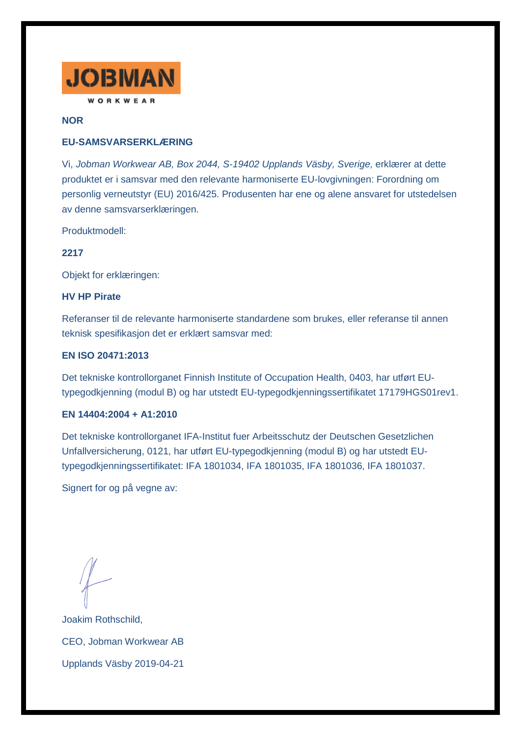

### **NOR**

# **EU-SAMSVARSERKLÆRING**

Vi, *Jobman Workwear AB, Box 2044, S-19402 Upplands Väsby, Sverige,* erklærer at dette produktet er i samsvar med den relevante harmoniserte EU-lovgivningen: Forordning om personlig verneutstyr (EU) 2016/425. Produsenten har ene og alene ansvaret for utstedelsen av denne samsvarserklæringen.

Produktmodell:

### **2217**

Objekt for erklæringen:

#### **HV HP Pirate**

Referanser til de relevante harmoniserte standardene som brukes, eller referanse til annen teknisk spesifikasjon det er erklært samsvar med:

#### **EN ISO 20471:2013**

Det tekniske kontrollorganet Finnish Institute of Occupation Health, 0403, har utført EUtypegodkjenning (modul B) og har utstedt EU-typegodkjenningssertifikatet 17179HGS01rev1.

### **EN 14404:2004 + A1:2010**

Det tekniske kontrollorganet IFA-Institut fuer Arbeitsschutz der Deutschen Gesetzlichen Unfallversicherung, 0121, har utført EU-typegodkjenning (modul B) og har utstedt EUtypegodkjenningssertifikatet: IFA 1801034, IFA 1801035, IFA 1801036, IFA 1801037.

Signert for og på vegne av:

Joakim Rothschild, CEO, Jobman Workwear AB Upplands Väsby 2019-04-21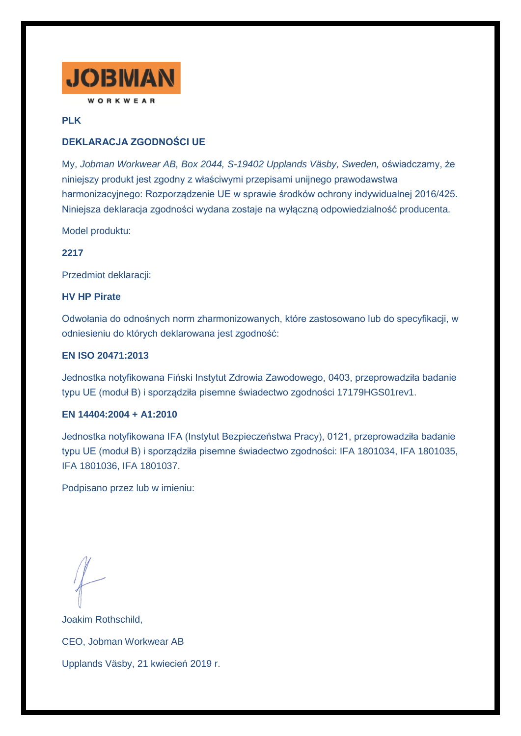

## **PLK**

# **DEKLARACJA ZGODNOŚCI UE**

My, *Jobman Workwear AB, Box 2044, S-19402 Upplands Väsby, Sweden,* oświadczamy, że niniejszy produkt jest zgodny z właściwymi przepisami unijnego prawodawstwa harmonizacyjnego: Rozporządzenie UE w sprawie środków ochrony indywidualnej 2016/425. Niniejsza deklaracja zgodności wydana zostaje na wyłączną odpowiedzialność producenta.

Model produktu:

### **2217**

Przedmiot deklaracji:

#### **HV HP Pirate**

Odwołania do odnośnych norm zharmonizowanych, które zastosowano lub do specyfikacji, w odniesieniu do których deklarowana jest zgodność:

#### **EN ISO 20471:2013**

Jednostka notyfikowana Fiński Instytut Zdrowia Zawodowego, 0403, przeprowadziła badanie typu UE (moduł B) i sporządziła pisemne świadectwo zgodności 17179HGS01rev1.

#### **EN 14404:2004 + A1:2010**

Jednostka notyfikowana IFA (Instytut Bezpieczeństwa Pracy), 0121, przeprowadziła badanie typu UE (moduł B) i sporządziła pisemne świadectwo zgodności: IFA 1801034, IFA 1801035, IFA 1801036, IFA 1801037.

Podpisano przez lub w imieniu:

Joakim Rothschild, CEO, Jobman Workwear AB Upplands Väsby, 21 kwiecień 2019 r.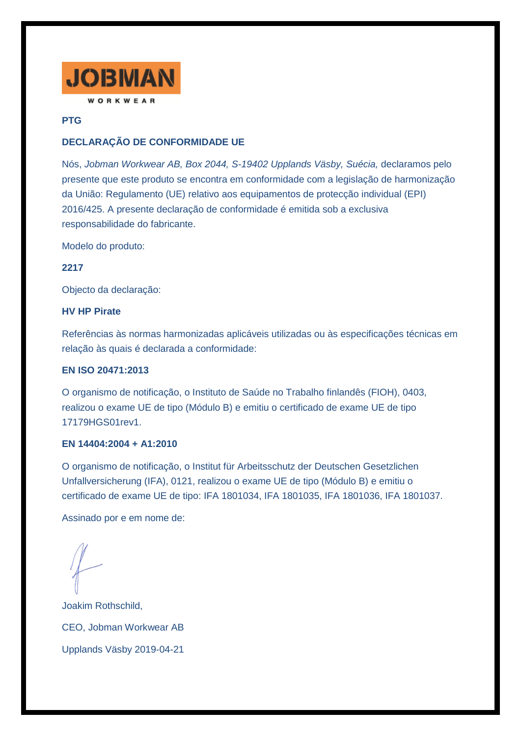

# **PTG**

# **DECLARAÇÃO DE CONFORMIDADE UE**

Nós, *Jobman Workwear AB, Box 2044, S-19402 Upplands Väsby, Suécia,* declaramos pelo presente que este produto se encontra em conformidade com a legislação de harmonização da União: Regulamento (UE) relativo aos equipamentos de protecção individual (EPI) 2016/425. A presente declaração de conformidade é emitida sob a exclusiva responsabilidade do fabricante.

Modelo do produto:

**2217**

Objecto da declaração:

#### **HV HP Pirate**

Referências às normas harmonizadas aplicáveis utilizadas ou às especificações técnicas em relação às quais é declarada a conformidade:

## **EN ISO 20471:2013**

O organismo de notificação, o Instituto de Saúde no Trabalho finlandês (FIOH), 0403, realizou o exame UE de tipo (Módulo B) e emitiu o certificado de exame UE de tipo 17179HGS01rev1.

### **EN 14404:2004 + A1:2010**

O organismo de notificação, o Institut für Arbeitsschutz der Deutschen Gesetzlichen Unfallversicherung (IFA), 0121, realizou o exame UE de tipo (Módulo B) e emitiu o certificado de exame UE de tipo: IFA 1801034, IFA 1801035, IFA 1801036, IFA 1801037.

Assinado por e em nome de:

Joakim Rothschild, CEO, Jobman Workwear AB Upplands Väsby 2019-04-21